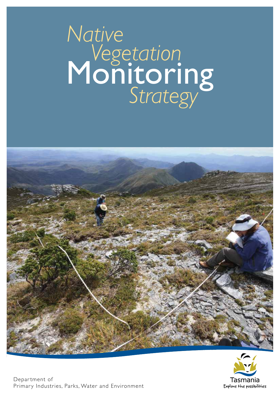# Monitoring *Native Vegetation Strategy*



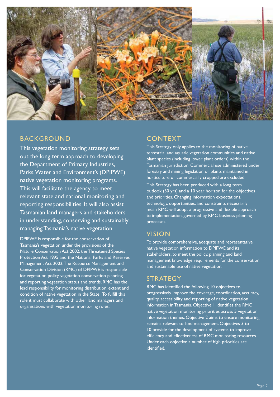

# BACKGROUND

This vegetation monitoring strategy sets out the long term approach to developing the Department of Primary Industries, Parks, Water and Environment's (DPIPWE) native vegetation monitoring programs. This will facilitate the agency to meet relevant state and national monitoring and reporting responsibilities. It will also assist Tasmanian land managers and stakeholders in understanding, conserving and sustainably managing Tasmania's native vegetation.

DPIPWE is responsible for the conservation of Tasmania's vegetation under the provisions of the Nature Conservation Act 2002, the Threatened Species Protection Act 1995 and the National Parks and Reserves Management Act 2002. The Resource Management and Conservation Division (RMC) of DPIPWE is responsible for vegetation policy, vegetation conservation planning and reporting vegetation status and trends. RMC has the lead responsibility for monitoring distribution, extent and condition of native vegetation in the State. To fulfill this role it must collaborate with other land managers and organisations with vegetation monitoring roles.

# CONTEXT

This Strategy only applies to the monitoring of native terrestrial and aquatic vegetation communities and native plant species (including lower plant orders) within the Tasmanian jurisdiction. Commercial use administered under forestry and mining legislation or plants maintained in horticulture or commercially cropped are excluded.

This Strategy has been produced with a long term outlook (50 yrs) and a 10 year horizon for the objectives and priorities. Changing information expectations, technology, opportunities, and constraints necessarily mean RMC will adopt a progressive and flexible approach to implementation, governed by RMC business planning processes.

# VISION

To provide comprehensive, adequate and representative native vegetation information to DPIPWE and its stakeholders, to meet the policy, planning and land management knowledge requirements for the conservation and sustainable use of native vegetation.

# **STRATEGY**

RMC has identified the following 10 objectives to progressively improve the coverage, coordination, accuracy, quality, accessibility and reporting of native vegetation information in Tasmania. Objective 1 identifies the RMC native vegetation monitoring priorities across 5 vegetation information themes. Objective 2 aims to ensure monitoring remains relevant to land management. Objectives 3 to 10 provide for the development of systems to improve efficiency and effectiveness of RMC monitoring resources. Under each objective a number of high priorities are identified.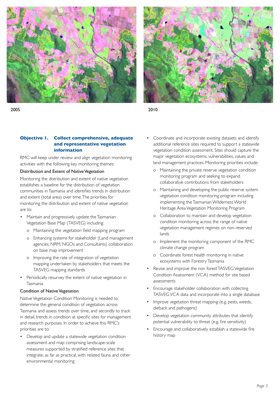





## **Objective 1. Collect comprehensive, adequate and representative vegetation information**

RMC will keep under review and align vegetation monitoring activities with the following key monitoring themes:

#### Distribution and Extent of Native Vegetation

Monitoring the distribution and extent of native vegetation establishes a baseline for the distribution of vegetation communities in Tasmania and identifies trends in distribution and extent (total area) over time. The priorities for monitoring the distribution and extent of native vegetation are to:

- Maintain and progressively update the Tasmanian Vegetation Base Map (TASVEG) including:
	- o Maintaining the vegetation field mapping program
	- o Enhancing systems for stakeholder (Land management agencies, NRM, NGOs and Consultants) collaboration on base map improvement
	- o Improving the rate of integration of vegetation mapping undertaken by stakeholders that meets the TASVEG mapping standards
- Periodically resurvey the extent of native vegetation in Tasmania

## Condition of Native Vegetation

Native Vegetation Condition Monitoring is needed to determine the general condition of vegetation across Tasmania and assess trends over time, and secondly to track in detail, trends in condition at specific sites for management and research purposes. In order to achieve this RMC's priorities are to:

• Develop and update a statewide vegetation condition assessment and map comprising landscape-scale measures supported by stratified reference sites that integrate, as far as practical, with related fauna and other environmental monitoring

- Coordinate and incorporate existing datasets and identify additional reference sites required to support a statewide vegetation condition assessment. Sites should capture the major vegetation ecosystems, vulnerabilities, values and land management practices. Monitoring priorities include:
	- o Maintaining the private reserve vegetation condition monitoring program and seeking to expand collaborative contributions from stakeholders
	- o Maintaining and developing the public reserve system vegetation condition monitoring program including implementing the Tasmanian Wilderness World Heritage Area Vegetation Monitoring Program
	- o Collaboration to maintain and develop vegetation condition monitoring across the range of native vegetation management regimes on non-reserved lands
	- o Implement the monitoring component of the RMC climate change program
	- o Coordinate forest health monitoring in native ecosystems with Forestry Tasmania
- Revise and improve the non forest TASVEG Vegetation Condition Assessment (VCA) method for site based assessments
- Encourage stakeholder collaboration with collecting TASVEG VCA data and incorporate into a single database
- Improve vegetation threat mapping (e.g. pests, weeds, dieback and pathogens)
- Develop vegetation community attributes that identify potential vulnerability to threat (e.g. fire sensitivity)
- Encourage and collaboratively establish a statewide fire history map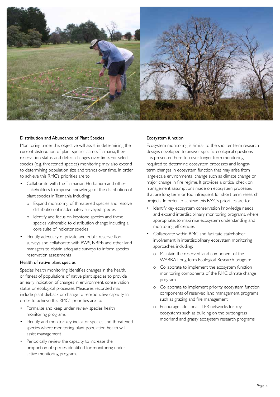

#### Distribution and Abundance of Plant Species

Monitoring under this objective will assist in determining the current distribution of plant species across Tasmania, their reservation status, and detect changes over time. For select species (e.g. threatened species) monitoring may also extend to determining population size and trends over time. In order to achieve this RMC's priorities are to:

- Collaborate with the Tasmanian Herbarium and other stakeholders to improve knowledge of the distribution of plant species in Tasmania including:
	- o Expand monitoring of threatened species and resolve distribution of inadequately surveyed species
	- o Identify and focus on keystone species and those species vulnerable to distribution change including a core suite of indicator species
- Identify adequacy of private and public reserve flora surveys and collaborate with PWS, NRMs and other land managers to obtain adequate surveys to inform species reservation assessments

#### Health of native plant species

Species health monitoring identifies changes in the health, or fitness of populations of native plant species to provide an early indication of changes in environment, conservation status or ecological processes. Measures recorded may include plant dieback or change to reproductive capacity. In order to achieve this RMC's priorities are to:

- Formalise and keep under review species health monitoring programs
- Identify and monitor key indicator species and threatened species where monitoring plant population health will assist management
- Periodically review the capacity to increase the proportion of species identified for monitoring under active monitoring programs

#### Ecosystem function

Ecosystem monitoring is similar to the shorter term research designs developed to answer specific ecological questions. It is presented here to cover longer-term monitoring required to determine ecosystem processes and longerterm changes in ecosystem function that may arise from large-scale environmental change such as climate change or major change in fire regime. It provides a critical check on management assumptions made on ecosystem processes that are long term or too infrequent for short term research projects. In order to achieve this RMC's priorities are to:

- Identify key ecosystem conservation knowledge needs and expand interdisciplinary monitoring programs, where appropriate, to maximise ecosystem understanding and monitoring efficiencies
- Collaborate within RMC and facilitate stakeholder involvement in interdisciplinary ecosystem monitoring approaches, including:
	- o Maintain the reserved land component of the WARRA Long Term Ecological Research program
	- o Collaborate to implement the ecosystem function monitoring components of the RMC climate change program
	- o Collaborate to implement priority ecosystem function components of reserved land management programs such as grazing and fire management
	- o Encourage additional LTER networks for key ecosystems such as building on the buttongrass moorland and grassy ecosystem research programs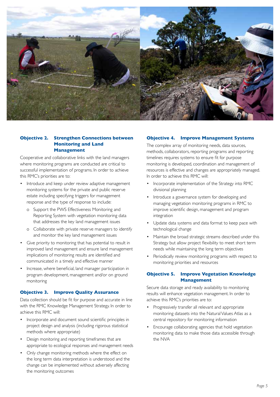

## **Objective 2. Strengthen Connections between Monitoring and Land Management**

Cooperative and collaborative links with the land managers where monitoring programs are conducted are critical to successful implementation of programs. In order to achieve this RMC's priorities are to:

- Introduce and keep under review adaptive management monitoring systems for the private and public reserve estate including specifying triggers for management response and the type of response to include:
	- o Support the PWS Effectiveness Monitoring and Reporting System with vegetation monitoring data that addresses the key land management issues
	- o Collaborate with private reserve managers to identify and monitor the key land management issues
- Give priority to monitoring that has potential to result in improved land management and ensure land management implications of monitoring results are identified and communicated in a timely and effective manner
- Increase, where beneficial, land manager participation in program development, management and/or on ground monitoring

#### **Objective 3. Improve Quality Assurance**

Data collection should be fit for purpose and accurate in line with the RMC Knowledge Management Strategy. In order to achieve this RMC will:

- Incorporate and document sound scientific principles in project design and analysis (including rigorous statistical methods where appropriate)
- Design monitoring and reporting timeframes that are appropriate to ecological responses and management needs
- Only change monitoring methods where the effect on the long term data interpretation is understood and the change can be implemented without adversely affecting the monitoring outcomes

#### **Objective 4. Improve Management Systems**

The complex array of monitoring needs, data sources, methods, collaborators, reporting programs and reporting timelines requires systems to ensure fit for purpose monitoring is developed, coordination and management of resources is effective and changes are appropriately managed. In order to achieve this RMC will:

- Incorporate implementation of the Strategy into RMC divisional planning
- Introduce a governance system for developing and managing vegetation monitoring programs in RMC to improve scientific design, management and program integration
- Update data systems and data format to keep pace with technological change
- Maintain the broad strategic streams described under this Strategy but allow project flexibility to meet short term needs while maintaining the long term objectives
- Periodically review monitoring programs with respect to monitoring priorities and resources

## **Objective 5. Improve Vegetation Knowledge Management**

Secure data storage and ready availability to monitoring results will enhance vegetation management. In order to achieve this RMC's priorities are to:

- Progressively transfer all relevant and appropriate monitoring datasets into the Natural Values Atlas as a central repository for monitoring information
- Encourage collaborating agencies that hold vegetation monitoring data to make those data accessible through the NVA